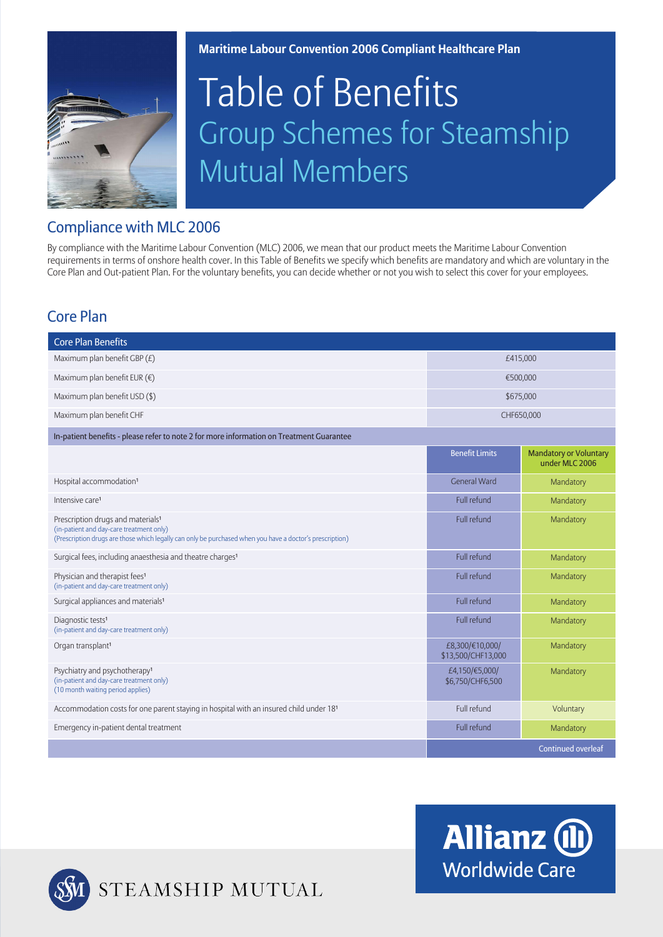

**Maritime Labour Convention 2006 Compliant Healthcare Plan**

# Table of Benefits Group Schemes for Steamship Mutual Members

## Compliance with MLC 2006

By compliance with the Maritime Labour Convention (MLC) 2006, we mean that our product meets the Maritime Labour Convention requirements in terms of onshore health cover. In this Table of Benefits we specify which benefits are mandatory and which are voluntary in the Core Plan and Out-patient Plan. For the voluntary benefits, you can decide whether or not you wish to select this cover for your employees.

## Core Plan

| <b>Core Plan Benefits</b>                                                                                                                                                                             |                                       |                                                 |
|-------------------------------------------------------------------------------------------------------------------------------------------------------------------------------------------------------|---------------------------------------|-------------------------------------------------|
| Maximum plan benefit GBP $(E)$                                                                                                                                                                        | £415,000                              |                                                 |
| Maximum plan benefit EUR $(\epsilon)$                                                                                                                                                                 | €500,000                              |                                                 |
| Maximum plan benefit USD (\$)                                                                                                                                                                         | \$675,000                             |                                                 |
| Maximum plan benefit CHF                                                                                                                                                                              | CHF650,000                            |                                                 |
| In-patient benefits - please refer to note 2 for more information on Treatment Guarantee                                                                                                              |                                       |                                                 |
|                                                                                                                                                                                                       | <b>Benefit Limits</b>                 | <b>Mandatory or Voluntary</b><br>under MLC 2006 |
| Hospital accommodation <sup>1</sup>                                                                                                                                                                   | <b>General Ward</b>                   | Mandatory                                       |
| Intensive care <sup>1</sup>                                                                                                                                                                           | Full refund                           | Mandatory                                       |
| Prescription drugs and materials <sup>1</sup><br>(in-patient and day-care treatment only)<br>(Prescription drugs are those which legally can only be purchased when you have a doctor's prescription) | Full refund                           | Mandatory                                       |
| Surgical fees, including anaesthesia and theatre charges <sup>1</sup>                                                                                                                                 | Full refund                           | Mandatory                                       |
| Physician and therapist fees <sup>1</sup><br>(in-patient and day-care treatment only)                                                                                                                 | Full refund                           | Mandatory                                       |
| Surgical appliances and materials <sup>1</sup>                                                                                                                                                        | Full refund                           | Mandatory                                       |
| Diagnostic tests <sup>1</sup><br>(in-patient and day-care treatment only)                                                                                                                             | Full refund                           | Mandatory                                       |
| Organ transplant <sup>1</sup>                                                                                                                                                                         | £8,300/€10,000/<br>\$13,500/CHF13,000 | Mandatory                                       |
| Psychiatry and psychotherapy <sup>1</sup><br>(in-patient and day-care treatment only)<br>(10 month waiting period applies)                                                                            | £4,150/€5,000/<br>\$6,750/CHF6,500    | Mandatory                                       |
| Accommodation costs for one parent staying in hospital with an insured child under 181                                                                                                                | Full refund                           | Voluntary                                       |
| Emergency in-patient dental treatment                                                                                                                                                                 | Full refund                           | Mandatory                                       |
|                                                                                                                                                                                                       |                                       | Continued overleaf                              |



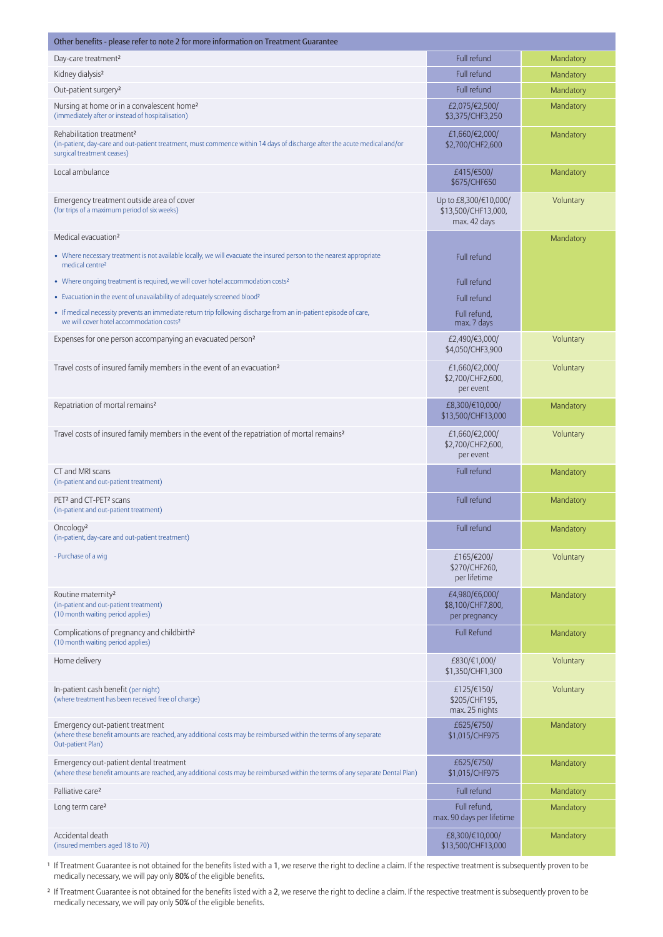| Other benefits - please refer to note 2 for more information on Treatment Guarantee                                                                                                              |                                                              |           |
|--------------------------------------------------------------------------------------------------------------------------------------------------------------------------------------------------|--------------------------------------------------------------|-----------|
| Day-care treatment <sup>2</sup>                                                                                                                                                                  | Full refund                                                  | Mandatory |
| Kidney dialysis <sup>2</sup>                                                                                                                                                                     | Full refund                                                  | Mandatory |
| Out-patient surgery <sup>2</sup>                                                                                                                                                                 | Full refund                                                  | Mandatory |
| Nursing at home or in a convalescent home <sup>2</sup><br>(immediately after or instead of hospitalisation)                                                                                      | £2,075/€2,500/<br>\$3,375/CHF3,250                           | Mandatory |
| Rehabilitation treatment <sup>2</sup><br>(in-patient, day-care and out-patient treatment, must commence within 14 days of discharge after the acute medical and/or<br>surgical treatment ceases) | £1,660/€2,000/<br>\$2,700/CHF2,600                           | Mandatory |
| Local ambulance                                                                                                                                                                                  | £415/€500/<br>\$675/CHF650                                   | Mandatory |
| Emergency treatment outside area of cover<br>(for trips of a maximum period of six weeks)                                                                                                        | Up to £8,300/€10,000/<br>\$13,500/CHF13,000,<br>max. 42 days | Voluntary |
| Medical evacuation <sup>2</sup>                                                                                                                                                                  |                                                              | Mandatory |
| • Where necessary treatment is not available locally, we will evacuate the insured person to the nearest appropriate<br>medical centre <sup>2</sup>                                              | Full refund                                                  |           |
| • Where ongoing treatment is required, we will cover hotel accommodation costs <sup>2</sup>                                                                                                      | Full refund                                                  |           |
| • Evacuation in the event of unavailability of adequately screened blood <sup>2</sup>                                                                                                            | Full refund                                                  |           |
| • If medical necessity prevents an immediate return trip following discharge from an in-patient episode of care,<br>we will cover hotel accommodation costs <sup>2</sup>                         | Full refund,<br>max. 7 days                                  |           |
| Expenses for one person accompanying an evacuated person <sup>2</sup>                                                                                                                            | £2,490/€3,000/<br>\$4,050/CHF3,900                           | Voluntary |
| Travel costs of insured family members in the event of an evacuation <sup>2</sup>                                                                                                                | £1,660/€2,000/<br>\$2,700/CHF2,600,<br>per event             | Voluntary |
| Repatriation of mortal remains <sup>2</sup>                                                                                                                                                      | £8,300/€10,000/<br>\$13,500/CHF13,000                        | Mandatory |
| Travel costs of insured family members in the event of the repatriation of mortal remains <sup>2</sup>                                                                                           | £1,660/€2,000/<br>\$2,700/CHF2,600,<br>per event             | Voluntary |
| CT and MRI scans<br>(in-patient and out-patient treatment)                                                                                                                                       | Full refund                                                  | Mandatory |
| PET <sup>2</sup> and CT-PET <sup>2</sup> scans<br>(in-patient and out-patient treatment)                                                                                                         | Full refund                                                  | Mandatory |
| Oncology <sup>2</sup><br>(in-patient, day-care and out-patient treatment)                                                                                                                        | Full refund                                                  | Mandatory |
| - Purchase of a wig                                                                                                                                                                              | £165/€200/<br>\$270/CHF260,<br>per lifetime                  | Voluntary |
| Routine maternity <sup>2</sup><br>(in-patient and out-patient treatment)<br>(10 month waiting period applies)                                                                                    | £4,980/€6,000/<br>\$8,100/CHF7,800,<br>per pregnancy         | Mandatory |
| Complications of pregnancy and childbirth <sup>2</sup><br>(10 month waiting period applies)                                                                                                      | <b>Full Refund</b>                                           | Mandatory |
| Home delivery                                                                                                                                                                                    | £830/€1,000/<br>\$1,350/CHF1,300                             | Voluntary |
| In-patient cash benefit (per night)<br>(where treatment has been received free of charge)                                                                                                        | £125/€150/<br>\$205/CHF195,<br>max. 25 nights                | Voluntary |
| Emergency out-patient treatment<br>(where these benefit amounts are reached, any additional costs may be reimbursed within the terms of any separate<br>Out-patient Plan)                        | £625/€750/<br>\$1,015/CHF975                                 | Mandatory |
| Emergency out-patient dental treatment<br>(where these benefit amounts are reached, any additional costs may be reimbursed within the terms of any separate Dental Plan)                         | £625/€750/<br>\$1,015/CHF975                                 | Mandatory |
| Palliative care <sup>2</sup>                                                                                                                                                                     | Full refund                                                  | Mandatory |
| Long term care <sup>2</sup>                                                                                                                                                                      | Full refund,<br>max. 90 days per lifetime                    | Mandatory |
| Accidental death<br>(insured members aged 18 to 70)                                                                                                                                              | £8,300/€10,000/<br>\$13,500/CHF13,000                        | Mandatory |

 $^{\rm 1}$  If Treatment Guarantee is not obtained for the benefits listed with a 1, we reserve the right to decline a claim. If the respective treatment is subsequently proven to be medically necessary, we will pay only 80% of the eligible benefits.

² If Treatment Guarantee is not obtained for the benefits listed with a 2, we reserve the right to decline a claim. If the respective treatment is subsequently proven to be medically necessary, we will pay only 50% of the eligible benefits.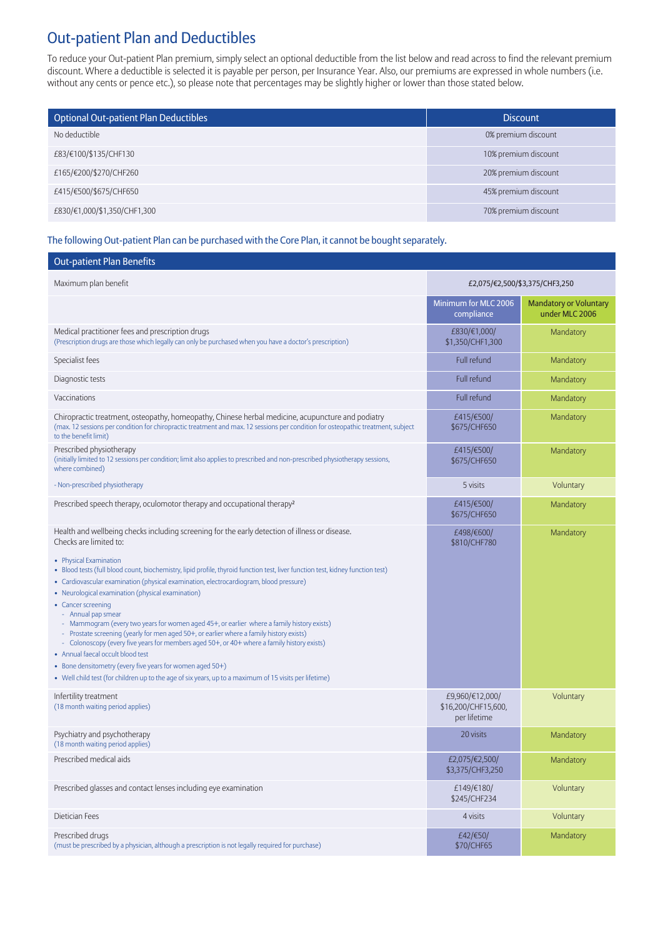## Out-patient Plan and Deductibles

To reduce your Out-patient Plan premium, simply select an optional deductible from the list below and read across to find the relevant premium discount. Where a deductible is selected it is payable per person, per Insurance Year. Also, our premiums are expressed in whole numbers (i.e. without any cents or pence etc.), so please note that percentages may be slightly higher or lower than those stated below.

| <b>Optional Out-patient Plan Deductibles</b> | <b>Discount</b>      |
|----------------------------------------------|----------------------|
| No deductible                                | 0% premium discount  |
| £83/€100/\$135/CHF130                        | 10% premium discount |
| £165/€200/\$270/CHF260                       | 20% premium discount |
| £415/€500/\$675/CHF650                       | 45% premium discount |
| £830/€1,000/\$1,350/CHF1,300                 | 70% premium discount |

The following Out-patient Plan can be purchased with the Core Plan, it cannot be bought separately.

| <b>Out-patient Plan Benefits</b>                                                                                                                                                                                                                                                                                                                                                                                                                                                                                                          |                                                        |                                                 |
|-------------------------------------------------------------------------------------------------------------------------------------------------------------------------------------------------------------------------------------------------------------------------------------------------------------------------------------------------------------------------------------------------------------------------------------------------------------------------------------------------------------------------------------------|--------------------------------------------------------|-------------------------------------------------|
| Maximum plan benefit                                                                                                                                                                                                                                                                                                                                                                                                                                                                                                                      |                                                        | £2,075/€2,500/\$3,375/CHF3,250                  |
|                                                                                                                                                                                                                                                                                                                                                                                                                                                                                                                                           | Minimum for MLC 2006<br>compliance                     | <b>Mandatory or Voluntary</b><br>under MLC 2006 |
| Medical practitioner fees and prescription drugs<br>(Prescription drugs are those which legally can only be purchased when you have a doctor's prescription)                                                                                                                                                                                                                                                                                                                                                                              | £830/€1,000/<br>\$1,350/CHF1,300                       | Mandatory                                       |
| Specialist fees                                                                                                                                                                                                                                                                                                                                                                                                                                                                                                                           | Full refund                                            | Mandatory                                       |
| Diagnostic tests                                                                                                                                                                                                                                                                                                                                                                                                                                                                                                                          | Full refund                                            | Mandatory                                       |
| Vaccinations                                                                                                                                                                                                                                                                                                                                                                                                                                                                                                                              | Full refund                                            | Mandatory                                       |
| Chiropractic treatment, osteopathy, homeopathy, Chinese herbal medicine, acupuncture and podiatry<br>(max. 12 sessions per condition for chiropractic treatment and max. 12 sessions per condition for osteopathic treatment, subject<br>to the benefit limit)                                                                                                                                                                                                                                                                            | £415/€500/<br>\$675/CHF650                             | Mandatory                                       |
| Prescribed physiotherapy<br>(initially limited to 12 sessions per condition; limit also applies to prescribed and non-prescribed physiotherapy sessions,<br>where combined)                                                                                                                                                                                                                                                                                                                                                               | £415/€500/<br>\$675/CHF650                             | Mandatory                                       |
| - Non-prescribed physiotherapy                                                                                                                                                                                                                                                                                                                                                                                                                                                                                                            | 5 visits                                               | Voluntary                                       |
| Prescribed speech therapy, oculomotor therapy and occupational therapy <sup>2</sup>                                                                                                                                                                                                                                                                                                                                                                                                                                                       | £415/€500/<br>\$675/CHF650                             | Mandatory                                       |
| Health and wellbeing checks including screening for the early detection of illness or disease.<br>Checks are limited to:                                                                                                                                                                                                                                                                                                                                                                                                                  | £498/€600/<br>\$810/CHF780                             | Mandatory                                       |
| • Physical Examination<br>· Blood tests (full blood count, biochemistry, lipid profile, thyroid function test, liver function test, kidney function test)<br>• Cardiovascular examination (physical examination, electrocardiogram, blood pressure)<br>• Neurological examination (physical examination)                                                                                                                                                                                                                                  |                                                        |                                                 |
| • Cancer screening<br>- Annual pap smear<br>Mammogram (every two years for women aged 45+, or earlier where a family history exists)<br>- Prostate screening (yearly for men aged 50+, or earlier where a family history exists)<br>Colonoscopy (every five years for members aged 50+, or 40+ where a family history exists)<br>• Annual faecal occult blood test<br>• Bone densitometry (every five years for women aged 50+)<br>• Well child test (for children up to the age of six years, up to a maximum of 15 visits per lifetime) |                                                        |                                                 |
| Infertility treatment<br>(18 month waiting period applies)                                                                                                                                                                                                                                                                                                                                                                                                                                                                                | £9,960/€12,000/<br>\$16,200/CHF15,600,<br>per lifetime | Voluntary                                       |
| Psychiatry and psychotherapy<br>(18 month waiting period applies)                                                                                                                                                                                                                                                                                                                                                                                                                                                                         | 20 visits                                              | Mandatory                                       |
| Prescribed medical aids                                                                                                                                                                                                                                                                                                                                                                                                                                                                                                                   | £2,075/€2,500/<br>\$3,375/CHF3,250                     | Mandatory                                       |
| Prescribed glasses and contact lenses including eye examination                                                                                                                                                                                                                                                                                                                                                                                                                                                                           | £149/€180/<br>\$245/CHF234                             | Voluntary                                       |
| Dietician Fees                                                                                                                                                                                                                                                                                                                                                                                                                                                                                                                            | 4 visits                                               | Voluntary                                       |
| Prescribed drugs<br>(must be prescribed by a physician, although a prescription is not legally required for purchase)                                                                                                                                                                                                                                                                                                                                                                                                                     | £42/€50/<br>\$70/CHF65                                 | Mandatory                                       |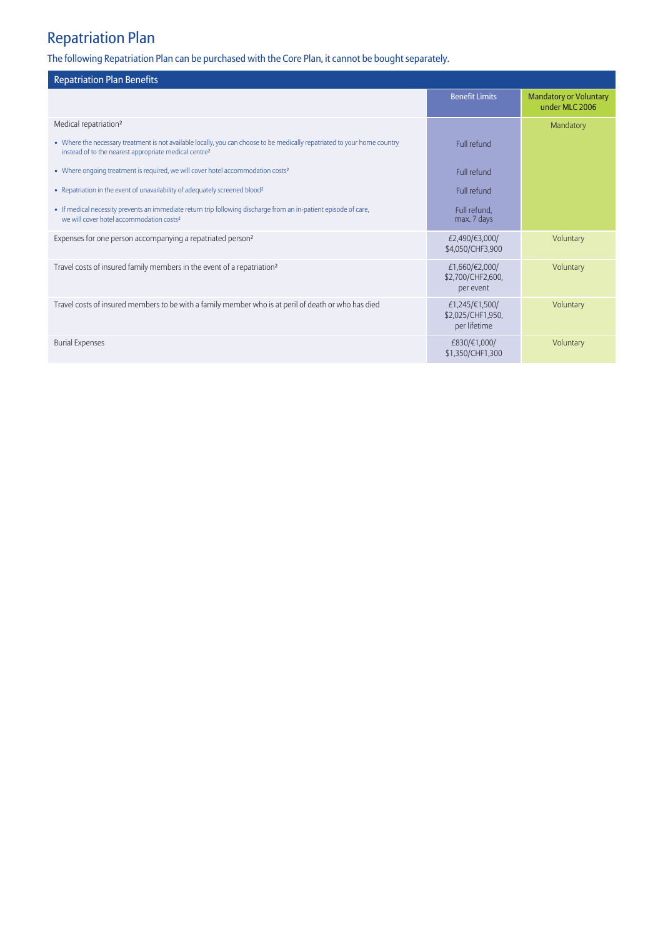# Repatriation Plan

The following Repatriation Plan can be purchased with the Core Plan, it cannot be bought separately.

| <b>Repatriation Plan Benefits</b>                                                                                                                                                              |                                                     |                                                 |
|------------------------------------------------------------------------------------------------------------------------------------------------------------------------------------------------|-----------------------------------------------------|-------------------------------------------------|
|                                                                                                                                                                                                | <b>Benefit Limits</b>                               | <b>Mandatory or Voluntary</b><br>under MLC 2006 |
| Medical repatriation <sup>2</sup>                                                                                                                                                              |                                                     | Mandatory                                       |
| • Where the necessary treatment is not available locally, you can choose to be medically repatriated to your home country<br>instead of to the nearest appropriate medical centre <sup>2</sup> | Full refund                                         |                                                 |
| • Where ongoing treatment is required, we will cover hotel accommodation costs <sup>2</sup>                                                                                                    | Full refund                                         |                                                 |
| • Repatriation in the event of unavailability of adequately screened blood <sup>2</sup>                                                                                                        | Full refund                                         |                                                 |
| • If medical necessity prevents an immediate return trip following discharge from an in-patient episode of care,<br>we will cover hotel accommodation costs <sup>2</sup>                       | Full refund,<br>max. 7 days                         |                                                 |
| Expenses for one person accompanying a repatriated person <sup>2</sup>                                                                                                                         | £2,490/€3,000/<br>\$4,050/CHF3,900                  | Voluntary                                       |
| Travel costs of insured family members in the event of a repatriation <sup>2</sup>                                                                                                             | £1,660/€2,000/<br>\$2,700/CHF2,600,<br>per event    | Voluntary                                       |
| Travel costs of insured members to be with a family member who is at peril of death or who has died                                                                                            | £1,245/€1,500/<br>\$2,025/CHF1,950,<br>per lifetime | Voluntary                                       |
| <b>Burial Expenses</b>                                                                                                                                                                         | £830/€1,000/<br>\$1,350/CHF1,300                    | Voluntary                                       |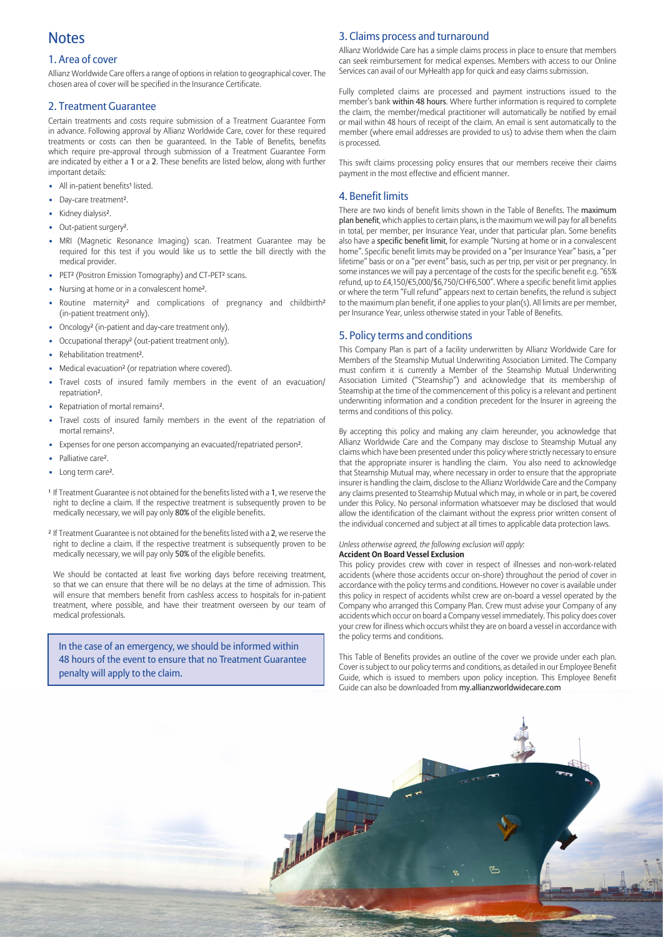## **Notes**

#### 1. Area of cover

Allianz Worldwide Care offers a range of options in relation to geographical cover. The chosen area of cover will be specified in the Insurance Certificate.

#### 2. Treatment Guarantee

Certain treatments and costs require submission of a Treatment Guarantee Form in advance. Following approval by Allianz Worldwide Care, cover for these required treatments or costs can then be guaranteed. In the Table of Benefits, benefits which require pre-approval through submission of a Treatment Guarantee Form are indicated by either a 1 or a 2. These benefits are listed below, along with further important details:

- All in-patient benefits<sup>1</sup> listed.
- **•** Day-care treatment².
- **•** Kidney dialysis².
- **•** Out-patient surgery².
- **•** MRI (Magnetic Resonance Imaging) scan. Treatment Guarantee may be required for this test if you would like us to settle the bill directly with the medical provider.
- **•** PET² (Positron Emission Tomography) and CT-PET² scans.
- **•** Nursing at home or in a convalescent home².
- Routine maternity<sup>2</sup> and complications of pregnancy and childbirth<sup>2</sup> (in-patient treatment only).
- **•** Oncology² (in-patient and day-care treatment only).
- **•** Occupational therapy² (out-patient treatment only).
- **•** Rehabilitation treatment².
- **•** Medical evacuation² (or repatriation where covered).
- **•** Travel costs of insured family members in the event of an evacuation/ repatriation².
- **•** Repatriation of mortal remains².
- **•** Travel costs of insured family members in the event of the repatriation of mortal remains².
- **•** Expenses for one person accompanying an evacuated/repatriated person².
- **•** Palliative care².
- **•** Long term care².
- <sup>1</sup> If Treatment Guarantee is not obtained for the benefits listed with a 1, we reserve the right to decline a claim. If the respective treatment is subsequently proven to be medically necessary, we will pay only 80% of the eligible benefits.
- ² If Treatment Guarantee is not obtained for the benefits listed with a 2, we reserve the right to decline a claim. If the respective treatment is subsequently proven to be medically necessary, we will pay only 50% of the eligible benefits.

We should be contacted at least five working days before receiving treatment, so that we can ensure that there will be no delays at the time of admission. This will ensure that members benefit from cashless access to hospitals for in-patient treatment, where possible, and have their treatment overseen by our team of medical professionals.

In the case of an emergency, we should be informed within 48 hours of the event to ensure that no Treatment Guarantee penalty will apply to the claim.

#### 3. Claims process and turnaround

Allianz Worldwide Care has a simple claims process in place to ensure that members can seek reimbursement for medical expenses. Members with access to our Online Services can avail of our MyHealth app for quick and easy claims submission.

Fully completed claims are processed and payment instructions issued to the member's bank within 48 hours. Where further information is required to complete the claim, the member/medical practitioner will automatically be notified by email or mail within 48 hours of receipt of the claim. An email is sent automatically to the member (where email addresses are provided to us) to advise them when the claim is processed.

This swift claims processing policy ensures that our members receive their claims payment in the most effective and efficient manner.

#### 4. Benefit limits

There are two kinds of benefit limits shown in the Table of Benefits. The maximum plan benefit, which applies to certain plans, is the maximum we will pay for all benefits in total, per member, per Insurance Year, under that particular plan. Some benefits also have a specific benefit limit, for example "Nursing at home or in a convalescent home". Specific benefit limits may be provided on a "per Insurance Year" basis, a "per lifetime" basis or on a "per event" basis, such as per trip, per visit or per pregnancy. In some instances we will pay a percentage of the costs for the specific benefit e.g. "65% refund, up to £4,150/€5,000/\$6,750/CHF6,500". Where a specific benefit limit applies or where the term "Full refund" appears next to certain benefits, the refund is subject to the maximum plan benefit, if one applies to your plan(s). All limits are per member, per Insurance Year, unless otherwise stated in your Table of Benefits.

#### 5. Policy terms and conditions

This Company Plan is part of a facility underwritten by Allianz Worldwide Care for Members of the Steamship Mutual Underwriting Association Limited. The Company must confirm it is currently a Member of the Steamship Mutual Underwriting Association Limited ("Steamship") and acknowledge that its membership of Steamship at the time of the commencement of this policy is a relevant and pertinent underwriting information and a condition precedent for the Insurer in agreeing the terms and conditions of this policy.

By accepting this policy and making any claim hereunder, you acknowledge that Allianz Worldwide Care and the Company may disclose to Steamship Mutual any claims which have been presented under this policy where strictly necessary to ensure that the appropriate insurer is handling the claim. You also need to acknowledge that Steamship Mutual may, where necessary in order to ensure that the appropriate insurer is handling the claim, disclose to the Allianz Worldwide Care and the Company any claims presented to Steamship Mutual which may, in whole or in part, be covered under this Policy. No personal information whatsoever may be disclosed that would allow the identification of the claimant without the express prior written consent of the individual concerned and subject at all times to applicable data protection laws.

#### *Unless otherwise agreed, the following exclusion will apply:* **Accident On Board Vessel Exclusion**

March 1920 - 1921

This policy provides crew with cover in respect of illnesses and non-work-related accidents (where those accidents occur on-shore) throughout the period of cover in accordance with the policy terms and conditions. However no cover is available under this policy in respect of accidents whilst crew are on-board a vessel operated by the Company who arranged this Company Plan. Crew must advise your Company of any accidents which occur on board a Company vessel immediately. This policy does cover your crew for illness which occurs whilst they are on board a vessel in accordance with the policy terms and conditions.

This Table of Benefits provides an outline of the cover we provide under each plan. Cover is subject to our policy terms and conditions, as detailed in our Employee Benefit Guide, which is issued to members upon policy inception. This Employee Benefit Guide can also be downloaded from [my.allianzworldwidecare.com](https://my.allianzworldwidecare.com)